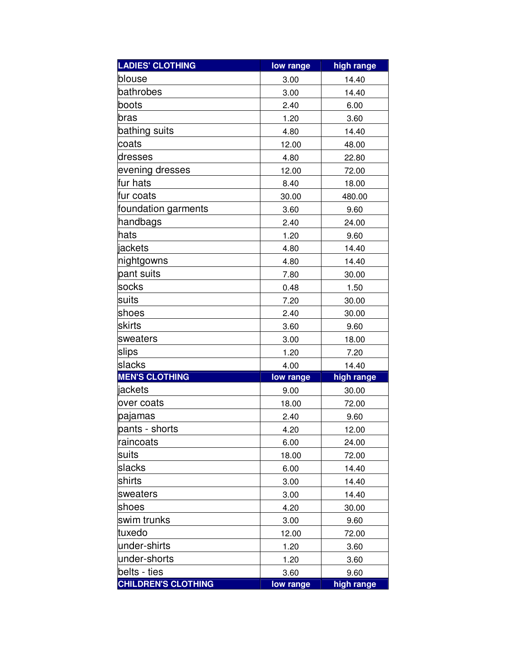| <b>LADIES' CLOTHING</b>    | low range | high range |
|----------------------------|-----------|------------|
| blouse                     | 3.00      | 14.40      |
| bathrobes                  | 3.00      | 14.40      |
| boots                      | 2.40      | 6.00       |
| bras                       | 1.20      | 3.60       |
| bathing suits              | 4.80      | 14.40      |
| coats                      | 12.00     | 48.00      |
| dresses                    | 4.80      | 22.80      |
| evening dresses            | 12.00     | 72.00      |
| fur hats                   | 8.40      | 18.00      |
| fur coats                  | 30.00     | 480.00     |
| foundation garments        | 3.60      | 9.60       |
| handbags                   | 2.40      | 24.00      |
| hats                       | 1.20      | 9.60       |
| jackets                    | 4.80      | 14.40      |
| nightgowns                 | 4.80      | 14.40      |
| pant suits                 | 7.80      | 30.00      |
| socks                      | 0.48      | 1.50       |
| suits                      | 7.20      | 30.00      |
| shoes                      | 2.40      | 30.00      |
| skirts                     | 3.60      | 9.60       |
| sweaters                   | 3.00      | 18.00      |
| slips                      | 1.20      | 7.20       |
| slacks                     | 4.00      | 14.40      |
| <b>MEN'S CLOTHING</b>      | low range | high range |
| jackets                    | 9.00      | 30.00      |
| over coats                 | 18.00     | 72.00      |
| pajamas                    | 2.40      | 9.60       |
| pants - shorts             | 4.20      | 12.00      |
| raincoats                  | 6.00      | 24.00      |
| suits                      | 18.00     | 72.00      |
| slacks                     | 6.00      | 14.40      |
| shirts                     | 3.00      | 14.40      |
| sweaters                   | 3.00      | 14.40      |
| shoes                      | 4.20      | 30.00      |
| swim trunks                | 3.00      | 9.60       |
| tuxedo                     | 12.00     | 72.00      |
| under-shirts               | 1.20      | 3.60       |
| under-shorts               | 1.20      | 3.60       |
| belts - ties               | 3.60      | 9.60       |
| <b>CHILDREN'S CLOTHING</b> | low range | high range |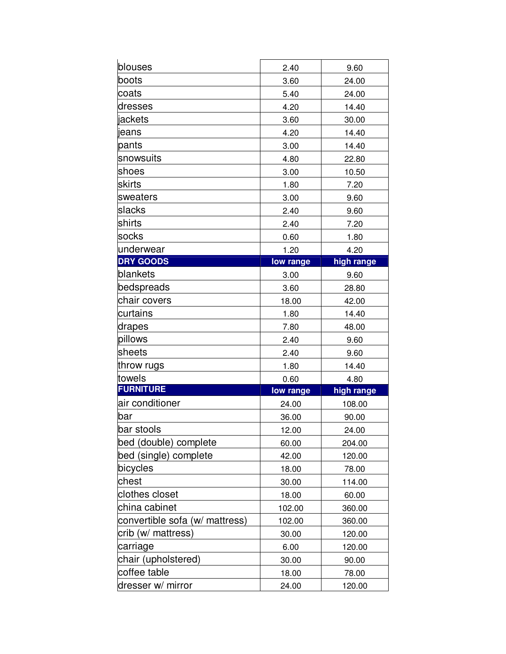| blouses                        | 2.40      | 9.60       |
|--------------------------------|-----------|------------|
| boots                          | 3.60      | 24.00      |
| coats                          | 5.40      | 24.00      |
| dresses                        | 4.20      | 14.40      |
| jackets                        | 3.60      | 30.00      |
| jeans                          | 4.20      | 14.40      |
| pants                          | 3.00      | 14.40      |
| snowsuits                      | 4.80      | 22.80      |
| shoes                          | 3.00      | 10.50      |
| skirts                         | 1.80      | 7.20       |
| sweaters                       | 3.00      | 9.60       |
| slacks                         | 2.40      | 9.60       |
| shirts                         | 2.40      | 7.20       |
| socks                          | 0.60      | 1.80       |
| underwear                      | 1.20      | 4.20       |
| <b>DRY GOODS</b>               | low range | high range |
| blankets                       | 3.00      | 9.60       |
| bedspreads                     | 3.60      | 28.80      |
| chair covers                   | 18.00     | 42.00      |
| curtains                       | 1.80      | 14.40      |
| drapes                         | 7.80      | 48.00      |
| pillows                        | 2.40      | 9.60       |
| sheets                         | 2.40      | 9.60       |
| throw rugs                     | 1.80      | 14.40      |
| towels                         | 0.60      | 4.80       |
| <b>FURNITURE</b>               | low range | high range |
| air conditioner                | 24.00     | 108.00     |
| bar                            | 36.00     | 90.00      |
| bar stools                     | 12.00     | 24.00      |
| bed (double) complete          | 60.00     | 204.00     |
| bed (single) complete          | 42.00     | 120.00     |
| bicycles                       | 18.00     | 78.00      |
| chest                          | 30.00     | 114.00     |
| clothes closet                 | 18.00     | 60.00      |
| china cabinet                  | 102.00    | 360.00     |
| convertible sofa (w/ mattress) | 102.00    | 360.00     |
| crib (w/ mattress)             | 30.00     | 120.00     |
| carriage                       | 6.00      | 120.00     |
| chair (upholstered)            | 30.00     | 90.00      |
| coffee table                   | 18.00     | 78.00      |
| dresser w/ mirror              | 24.00     | 120.00     |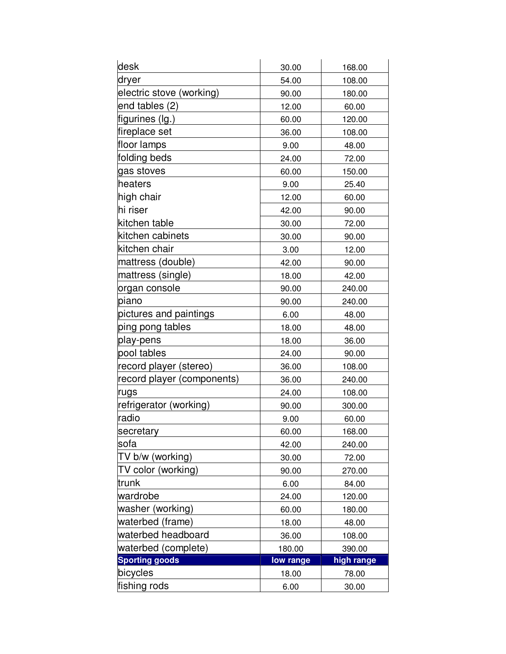| desk                       | 30.00     | 168.00     |
|----------------------------|-----------|------------|
| dryer                      | 54.00     | 108.00     |
| electric stove (working)   | 90.00     | 180.00     |
| end tables (2)             | 12.00     | 60.00      |
| figurines (lg.)            | 60.00     | 120.00     |
| fireplace set              | 36.00     | 108.00     |
| floor lamps                | 9.00      | 48.00      |
| folding beds               | 24.00     | 72.00      |
| gas stoves                 | 60.00     | 150.00     |
| heaters                    | 9.00      | 25.40      |
| high chair                 | 12.00     | 60.00      |
| hi riser                   | 42.00     | 90.00      |
| kitchen table              | 30.00     | 72.00      |
| kitchen cabinets           | 30.00     | 90.00      |
| kitchen chair              | 3.00      | 12.00      |
| mattress (double)          | 42.00     | 90.00      |
| mattress (single)          | 18.00     | 42.00      |
| organ console              | 90.00     | 240.00     |
| piano                      | 90.00     | 240.00     |
| pictures and paintings     | 6.00      | 48.00      |
| ping pong tables           | 18.00     | 48.00      |
| play-pens                  | 18.00     | 36.00      |
| pool tables                | 24.00     | 90.00      |
| record player (stereo)     | 36.00     | 108.00     |
| record player (components) | 36.00     | 240.00     |
| rugs                       | 24.00     | 108.00     |
| refrigerator (working)     | 90.00     | 300.00     |
| radio                      | 9.00      | 60.00      |
| secretary                  | 60.00     | 168.00     |
| sofa                       | 42.00     | 240.00     |
| TV b/w (working)           | 30.00     | 72.00      |
| TV color (working)         | 90.00     | 270.00     |
| trunk                      | 6.00      | 84.00      |
| wardrobe                   | 24.00     | 120.00     |
| washer (working)           | 60.00     | 180.00     |
| waterbed (frame)           | 18.00     | 48.00      |
| waterbed headboard         | 36.00     | 108.00     |
| waterbed (complete)        | 180.00    | 390.00     |
| <b>Sporting goods</b>      | low range | high range |
| bicycles                   | 18.00     | 78.00      |
| fishing rods               | 6.00      | 30.00      |